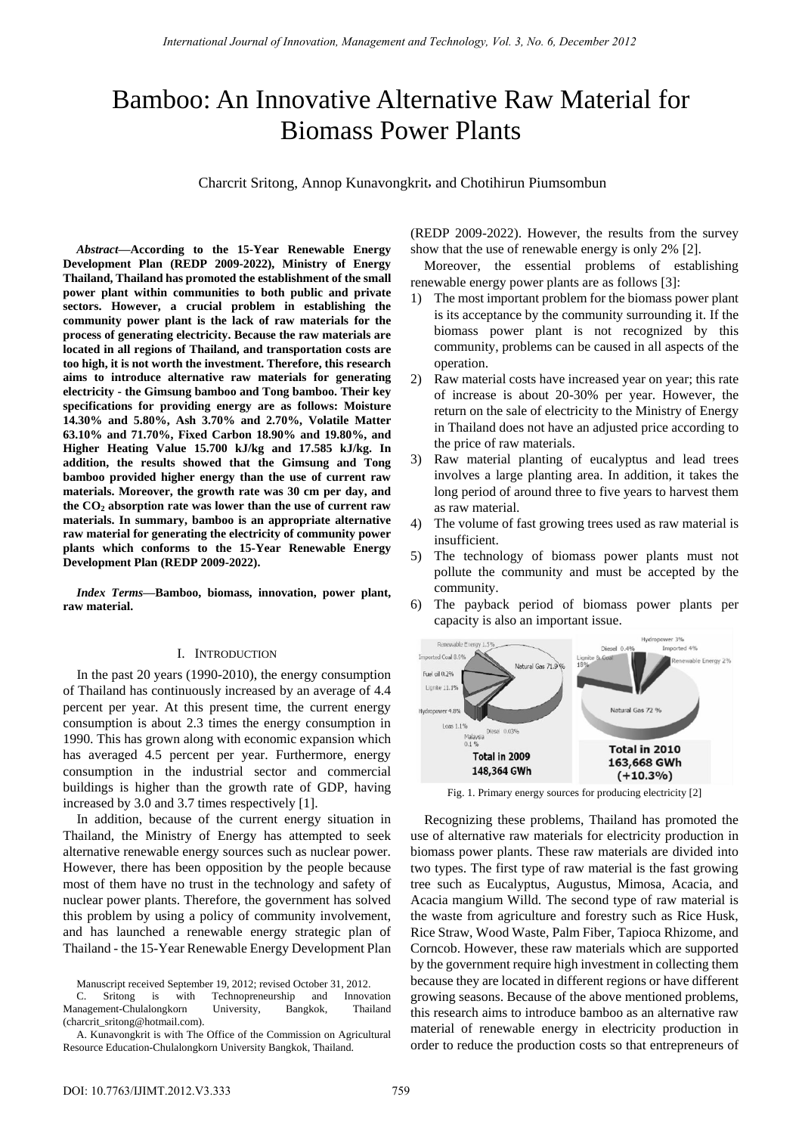# Bamboo: An Innovative Alternative Raw Material for Biomass Power Plants

Charcrit Sritong, Annop Kunavongkrit, and Chotihirun Piumsombun

*Abstract***—According to the 15-Year Renewable Energy Development Plan (REDP 2009-2022), Ministry of Energy Thailand, Thailand has promoted the establishment of the small power plant within communities to both public and private sectors. However, a crucial problem in establishing the community power plant is the lack of raw materials for the process of generating electricity. Because the raw materials are located in all regions of Thailand, and transportation costs are too high, it is not worth the investment. Therefore, this research aims to introduce alternative raw materials for generating electricity - the Gimsung bamboo and Tong bamboo. Their key specifications for providing energy are as follows: Moisture 14.30% and 5.80%, Ash 3.70% and 2.70%, Volatile Matter 63.10% and 71.70%, Fixed Carbon 18.90% and 19.80%, and Higher Heating Value 15.700 kJ/kg and 17.585 kJ/kg. In addition, the results showed that the Gimsung and Tong bamboo provided higher energy than the use of current raw materials. Moreover, the growth rate was 30 cm per day, and the CO2 absorption rate was lower than the use of current raw materials. In summary, bamboo is an appropriate alternative raw material for generating the electricity of community power plants which conforms to the 15-Year Renewable Energy Development Plan (REDP 2009-2022).** 

*Index Terms***—Bamboo, biomass, innovation, power plant, raw material.**

### I. INTRODUCTION

In the past 20 years (1990-2010), the energy consumption of Thailand has continuously increased by an average of 4.4 percent per year. At this present time, the current energy consumption is about 2.3 times the energy consumption in 1990. This has grown along with economic expansion which has averaged 4.5 percent per year. Furthermore, energy consumption in the industrial sector and commercial buildings is higher than the growth rate of GDP, having increased by 3.0 and 3.7 times respectively [1].

In addition, because of the current energy situation in Thailand, the Ministry of Energy has attempted to seek alternative renewable energy sources such as nuclear power. However, there has been opposition by the people because most of them have no trust in the technology and safety of nuclear power plants. Therefore, the government has solved this problem by using a policy of community involvement, and has launched a renewable energy strategic plan of Thailand - the 15-Year Renewable Energy Development Plan

Manuscript received September 19, 2012; revised October 31, 2012.

C. Sritong is with Technopreneurship and Innovation Management-Chulalongkorn University, Bangkok, Thailand (charcrit\_sritong@hotmail.com).

(REDP 2009-2022). However, the results from the survey show that the use of renewable energy is only 2% [2].

Moreover, the essential problems of establishing renewable energy power plants are as follows [3]:

- 1) The most important problem for the biomass power plant is its acceptance by the community surrounding it. If the biomass power plant is not recognized by this community, problems can be caused in all aspects of the operation.
- 2) Raw material costs have increased year on year; this rate of increase is about 20-30% per year. However, the return on the sale of electricity to the Ministry of Energy in Thailand does not have an adjusted price according to the price of raw materials.
- 3) Raw material planting of eucalyptus and lead trees involves a large planting area. In addition, it takes the long period of around three to five years to harvest them as raw material.
- 4) The volume of fast growing trees used as raw material is insufficient.
- 5) The technology of biomass power plants must not pollute the community and must be accepted by the community.
- 6) The payback period of biomass power plants per capacity is also an important issue.



Fig. 1. Primary energy sources for producing electricity [2]

Recognizing these problems, Thailand has promoted the use of alternative raw materials for electricity production in biomass power plants. These raw materials are divided into two types. The first type of raw material is the fast growing tree such as Eucalyptus, Augustus, Mimosa, Acacia, and Acacia mangium Willd. The second type of raw material is the waste from agriculture and forestry such as Rice Husk, Rice Straw, Wood Waste, Palm Fiber, Tapioca Rhizome, and Corncob. However, these raw materials which are supported by the government require high investment in collecting them because they are located in different regions or have different growing seasons. Because of the above mentioned problems, this research aims to introduce bamboo as an alternative raw material of renewable energy in electricity production in order to reduce the production costs so that entrepreneurs of

A. Kunavongkrit is with The Office of the Commission on Agricultural Resource Education-Chulalongkorn University Bangkok, Thailand.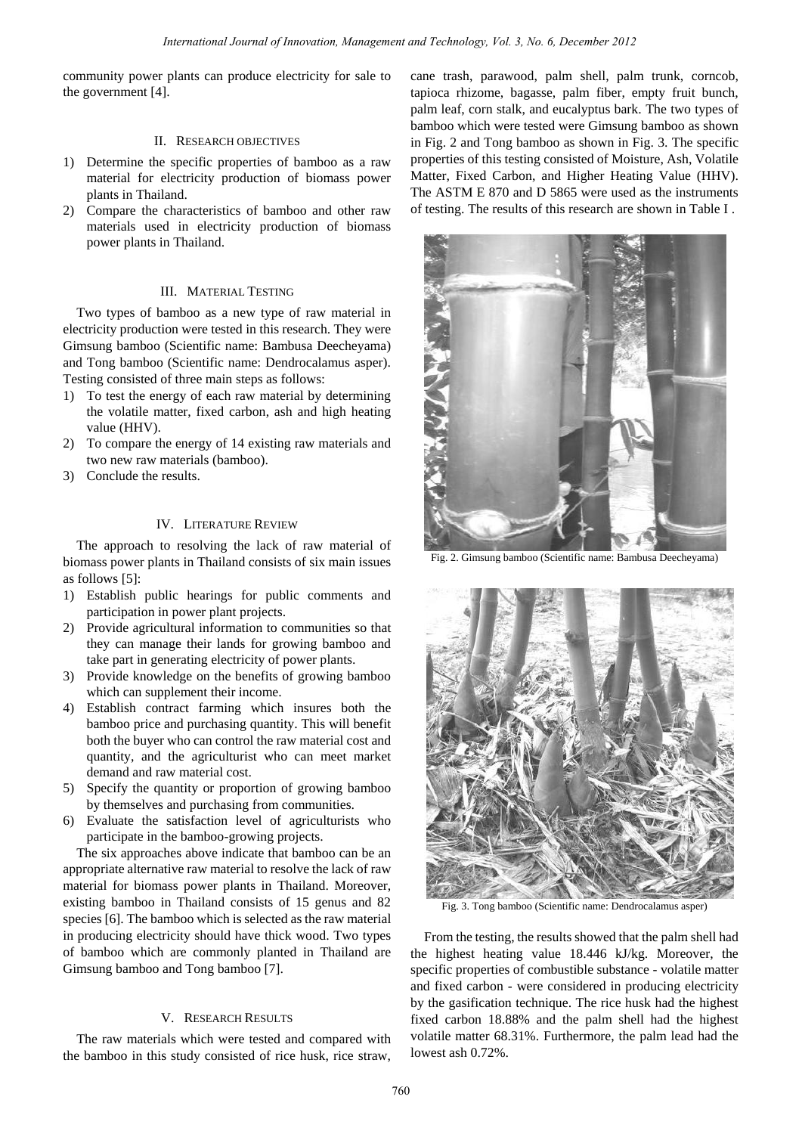community power plants can produce electricity for sale to the government [4].

# II. RESEARCH OBJECTIVES

- 1) Determine the specific properties of bamboo as a raw material for electricity production of biomass power plants in Thailand.
- 2) Compare the characteristics of bamboo and other raw materials used in electricity production of biomass power plants in Thailand.

# III. MATERIAL TESTING

Two types of bamboo as a new type of raw material in electricity production were tested in this research. They were Gimsung bamboo (Scientific name: Bambusa Deecheyama) and Tong bamboo (Scientific name: Dendrocalamus asper). Testing consisted of three main steps as follows:

- 1) To test the energy of each raw material by determining the volatile matter, fixed carbon, ash and high heating value (HHV).
- 2) To compare the energy of 14 existing raw materials and two new raw materials (bamboo).
- 3) Conclude the results.

### IV. LITERATURE REVIEW

The approach to resolving the lack of raw material of biomass power plants in Thailand consists of six main issues as follows [5]:

- 1) Establish public hearings for public comments and participation in power plant projects.
- 2) Provide agricultural information to communities so that they can manage their lands for growing bamboo and take part in generating electricity of power plants.
- 3) Provide knowledge on the benefits of growing bamboo which can supplement their income.
- 4) Establish contract farming which insures both the bamboo price and purchasing quantity. This will benefit both the buyer who can control the raw material cost and quantity, and the agriculturist who can meet market demand and raw material cost.
- 5) Specify the quantity or proportion of growing bamboo by themselves and purchasing from communities.
- 6) Evaluate the satisfaction level of agriculturists who participate in the bamboo-growing projects.

The six approaches above indicate that bamboo can be an appropriate alternative raw material to resolve the lack of raw material for biomass power plants in Thailand. Moreover, existing bamboo in Thailand consists of 15 genus and 82 species [6]. The bamboo which is selected as the raw material in producing electricity should have thick wood. Two types of bamboo which are commonly planted in Thailand are Gimsung bamboo and Tong bamboo [7].

## V. RESEARCH RESULTS

The raw materials which were tested and compared with the bamboo in this study consisted of rice husk, rice straw, cane trash, parawood, palm shell, palm trunk, corncob, tapioca rhizome, bagasse, palm fiber, empty fruit bunch, palm leaf, corn stalk, and eucalyptus bark. The two types of bamboo which were tested were Gimsung bamboo as shown in Fig. 2 and Tong bamboo as shown in Fig. 3. The specific properties of this testing consisted of Moisture, Ash, Volatile Matter, Fixed Carbon, and Higher Heating Value (HHV). The ASTM E 870 and D 5865 were used as the instruments of testing. The results of this research are shown in Table I .



Fig. 2. Gimsung bamboo (Scientific name: Bambusa Deecheyama)



Fig. 3. Tong bamboo (Scientific name: Dendrocalamus asper)

From the testing, the results showed that the palm shell had the highest heating value 18.446 kJ/kg. Moreover, the specific properties of combustible substance - volatile matter and fixed carbon - were considered in producing electricity by the gasification technique. The rice husk had the highest fixed carbon 18.88% and the palm shell had the highest volatile matter 68.31%. Furthermore, the palm lead had the lowest ash 0.72%.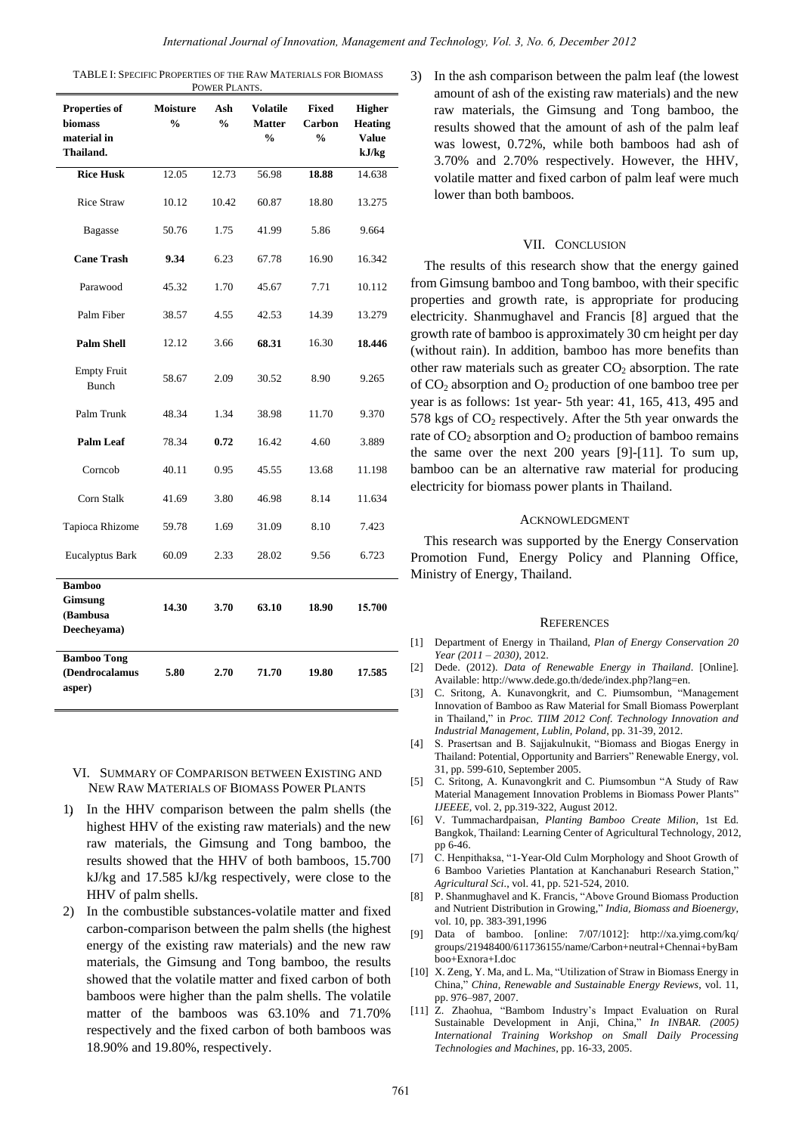TABLE I: SPECIFIC PROPERTIES OF THE RAW MATERIALS FOR BIOMASS POWER PLANTS.

| Properties of<br>biomass<br>material in<br>Thailand.       | <b>Moisture</b><br>$\frac{0}{0}$ | Ash<br>$\frac{0}{0}$ | <b>Volatile</b><br><b>Matter</b><br>$\frac{0}{0}$ | Fixed<br>Carbon<br>$\frac{0}{0}$ | <b>Higher</b><br><b>Heating</b><br><b>Value</b><br>kJ/kg |
|------------------------------------------------------------|----------------------------------|----------------------|---------------------------------------------------|----------------------------------|----------------------------------------------------------|
| <b>Rice Husk</b>                                           | 12.05                            | 12.73                | 56.98                                             | 18.88                            | 14.638                                                   |
| <b>Rice Straw</b>                                          | 10.12                            | 10.42                | 60.87                                             | 18.80                            | 13.275                                                   |
| <b>Bagasse</b>                                             | 50.76                            | 1.75                 | 41.99                                             | 5.86                             | 9.664                                                    |
| <b>Cane Trash</b>                                          | 9.34                             | 6.23                 | 67.78                                             | 16.90                            | 16.342                                                   |
| Parawood                                                   | 45.32                            | 1.70                 | 45.67                                             | 7.71                             | 10.112                                                   |
| Palm Fiber                                                 | 38.57                            | 4.55                 | 42.53                                             | 14.39                            | 13.279                                                   |
| <b>Palm Shell</b>                                          | 12.12                            | 3.66                 | 68.31                                             | 16.30                            | 18.446                                                   |
| <b>Empty Fruit</b><br><b>Bunch</b>                         | 58.67                            | 2.09                 | 30.52                                             | 8.90                             | 9.265                                                    |
| Palm Trunk                                                 | 48.34                            | 1.34                 | 38.98                                             | 11.70                            | 9.370                                                    |
| <b>Palm Leaf</b>                                           | 78.34                            | 0.72                 | 16.42                                             | 4.60                             | 3.889                                                    |
| Corncob                                                    | 40.11                            | 0.95                 | 45.55                                             | 13.68                            | 11.198                                                   |
| Corn Stalk                                                 | 41.69                            | 3.80                 | 46.98                                             | 8.14                             | 11.634                                                   |
| Tapioca Rhizome                                            | 59.78                            | 1.69                 | 31.09                                             | 8.10                             | 7.423                                                    |
| <b>Eucalyptus Bark</b>                                     | 60.09                            | 2.33                 | 28.02                                             | 9.56                             | 6.723                                                    |
| <b>Bamboo</b><br><b>Gimsung</b><br>(Bambusa<br>Deecheyama) | 14.30                            | 3.70                 | 63.10                                             | 18.90                            | 15.700                                                   |
| <b>Bamboo Tong</b><br>(Dendrocalamus<br>asper)             | 5.80                             | 2.70                 | 71.70                                             | 19.80                            | 17.585                                                   |

- VI. SUMMARY OF COMPARISON BETWEEN EXISTING AND NEW RAW MATERIALS OF BIOMASS POWER PLANTS
- 1) In the HHV comparison between the palm shells (the highest HHV of the existing raw materials) and the new raw materials, the Gimsung and Tong bamboo, the results showed that the HHV of both bamboos, 15.700 kJ/kg and 17.585 kJ/kg respectively, were close to the HHV of palm shells.
- 2) In the combustible substances-volatile matter and fixed carbon-comparison between the palm shells (the highest energy of the existing raw materials) and the new raw materials, the Gimsung and Tong bamboo, the results showed that the volatile matter and fixed carbon of both bamboos were higher than the palm shells. The volatile matter of the bamboos was 63.10% and 71.70% respectively and the fixed carbon of both bamboos was 18.90% and 19.80%, respectively.

3) In the ash comparison between the palm leaf (the lowest amount of ash of the existing raw materials) and the new raw materials, the Gimsung and Tong bamboo, the results showed that the amount of ash of the palm leaf was lowest, 0.72%, while both bamboos had ash of 3.70% and 2.70% respectively. However, the HHV, volatile matter and fixed carbon of palm leaf were much lower than both bamboos.

## VII. CONCLUSION

The results of this research show that the energy gained from Gimsung bamboo and Tong bamboo, with their specific properties and growth rate, is appropriate for producing electricity. Shanmughavel and Francis [8] argued that the growth rate of bamboo is approximately 30 cm height per day (without rain). In addition, bamboo has more benefits than other raw materials such as greater  $CO<sub>2</sub>$  absorption. The rate of  $CO<sub>2</sub>$  absorption and  $O<sub>2</sub>$  production of one bamboo tree per year is as follows: 1st year- 5th year: 41, 165, 413, 495 and 578 kgs of  $CO<sub>2</sub>$  respectively. After the 5th year onwards the rate of  $CO<sub>2</sub>$  absorption and  $O<sub>2</sub>$  production of bamboo remains the same over the next 200 years [9]-[11]. To sum up, bamboo can be an alternative raw material for producing electricity for biomass power plants in Thailand.

#### ACKNOWLEDGMENT

This research was supported by the Energy Conservation Promotion Fund, Energy Policy and Planning Office, Ministry of Energy, Thailand.

#### **REFERENCES**

- [1] Department of Energy in Thailand, *Plan of Energy Conservation 20 Year (2011 – 2030),* 2012.
- [2] Dede. (2012). *Data of Renewable Energy in Thailand*. [Online]. Available: http://www.dede.go.th/dede/index.php?lang=en.
- [3] C. Sritong, A. Kunavongkrit, and C. Piumsombun, "Management Innovation of Bamboo as Raw Material for Small Biomass Powerplant in Thailand," in *Proc. TIIM 2012 Conf. Technology Innovation and Industrial Management, Lublin, Poland*, pp. 31-39, 2012.
- [4] S. Prasertsan and B. Sajjakulnukit, "Biomass and Biogas Energy in Thailand: Potential, Opportunity and Barriers" Renewable Energy, vol. 31, pp. 599-610, September 2005.
- [5] C. Sritong, A. Kunavongkrit and C. Piumsombun "A Study of Raw Material Management Innovation Problems in Biomass Power Plants" *IJEEEE*, vol. 2, pp.319-322, August 2012.
- [6] V. Tummachardpaisan, *Planting Bamboo Create Milion*, 1st Ed. Bangkok, Thailand: Learning Center of Agricultural Technology, 2012, pp 6-46.
- [7] C. Henpithaksa, "1-Year-Old Culm Morphology and Shoot Growth of 6 Bamboo Varieties Plantation at Kanchanaburi Research Station," *Agricultural Sci*., vol. 41, pp. 521-524, 2010.
- [8] P. Shanmughavel and K. Francis, "Above Ground Biomass Production and Nutrient Distribution in Growing," *India, Biomass and Bioenergy*, vol. 10, pp. 383-391,1996
- [9] Data of bamboo. [online: 7/07/1012]: http://xa.yimg.com/kq/ groups/21948400/611736155/name/Carbon+neutral+Chennai+byBam boo+Exnora+I.doc
- [10] X. Zeng, Y. Ma, and L. Ma, "Utilization of Straw in Biomass Energy in China," *China, Renewable and Sustainable Energy Reviews*, vol. 11, pp. 976–987, 2007.
- [11] Z. Zhaohua, "Bambom Industry's Impact Evaluation on Rural Sustainable Development in Anji, China," *In INBAR. (2005) International Training Workshop on Small Daily Processing Technologies and Machines*, pp. 16-33, 2005.